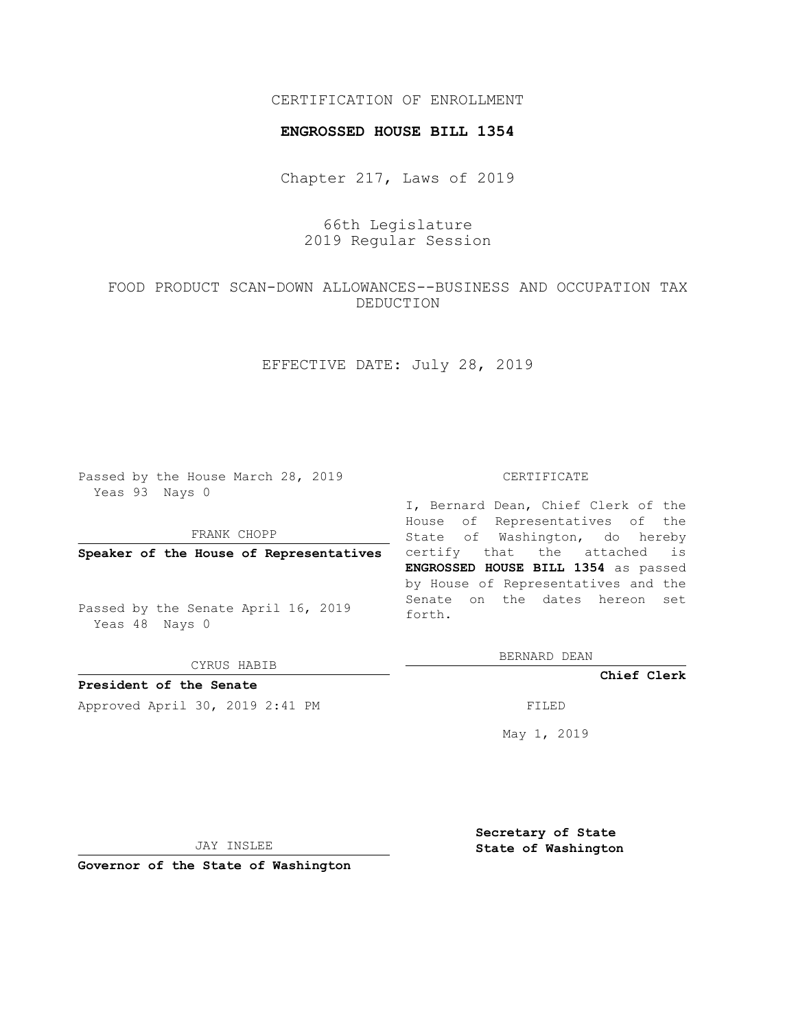#### CERTIFICATION OF ENROLLMENT

#### **ENGROSSED HOUSE BILL 1354**

Chapter 217, Laws of 2019

# 66th Legislature 2019 Regular Session

# FOOD PRODUCT SCAN-DOWN ALLOWANCES--BUSINESS AND OCCUPATION TAX DEDUCTION

## EFFECTIVE DATE: July 28, 2019

Passed by the House March 28, 2019 Yeas 93 Nays 0

### FRANK CHOPP

**Speaker of the House of Representatives**

Passed by the Senate April 16, 2019 Yeas 48 Nays 0

CYRUS HABIB

**President of the Senate**

Approved April 30, 2019 2:41 PM FILED

#### CERTIFICATE

I, Bernard Dean, Chief Clerk of the House of Representatives of the State of Washington, do hereby certify that the attached is **ENGROSSED HOUSE BILL 1354** as passed by House of Representatives and the Senate on the dates hereon set forth.

BERNARD DEAN

**Chief Clerk**

May 1, 2019

JAY INSLEE

**Governor of the State of Washington**

**Secretary of State State of Washington**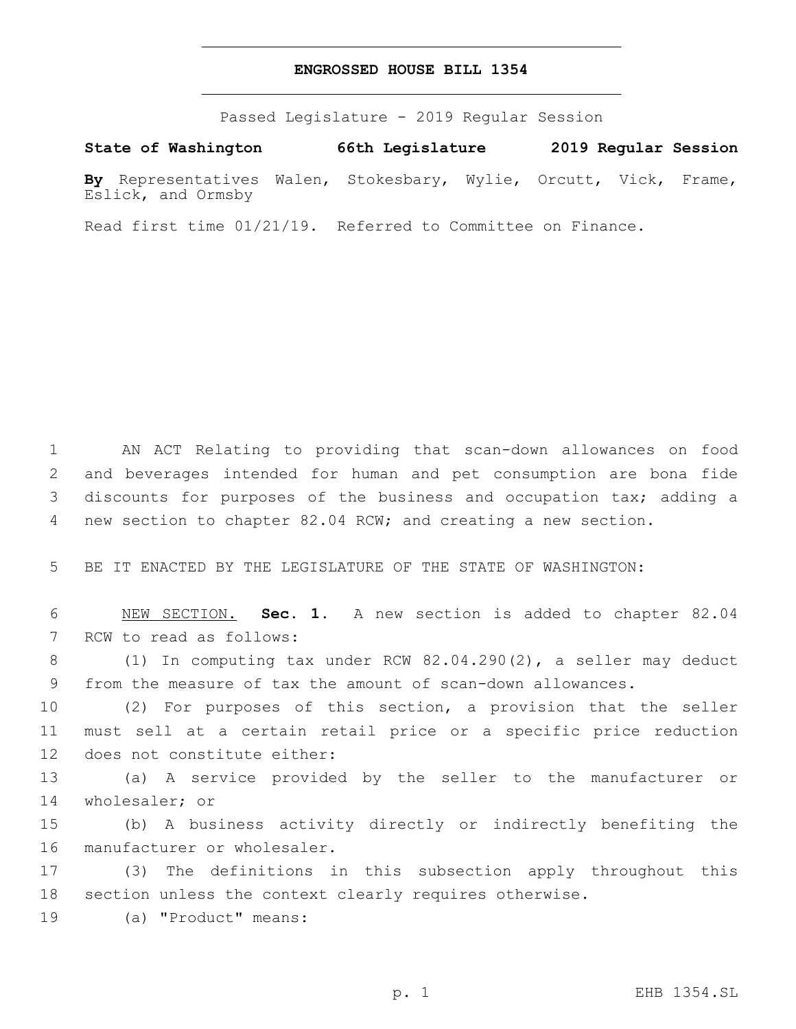#### **ENGROSSED HOUSE BILL 1354**

Passed Legislature - 2019 Regular Session

**State of Washington 66th Legislature 2019 Regular Session**

**By** Representatives Walen, Stokesbary, Wylie, Orcutt, Vick, Frame, Eslick, and Ormsby

Read first time 01/21/19. Referred to Committee on Finance.

 AN ACT Relating to providing that scan-down allowances on food and beverages intended for human and pet consumption are bona fide discounts for purposes of the business and occupation tax; adding a new section to chapter 82.04 RCW; and creating a new section.

5 BE IT ENACTED BY THE LEGISLATURE OF THE STATE OF WASHINGTON:

6 NEW SECTION. **Sec. 1.** A new section is added to chapter 82.04 7 RCW to read as follows:

8 (1) In computing tax under RCW 82.04.290(2), a seller may deduct 9 from the measure of tax the amount of scan-down allowances.

10 (2) For purposes of this section, a provision that the seller 11 must sell at a certain retail price or a specific price reduction 12 does not constitute either:

13 (a) A service provided by the seller to the manufacturer or 14 wholesaler; or

15 (b) A business activity directly or indirectly benefiting the 16 manufacturer or wholesaler.

17 (3) The definitions in this subsection apply throughout this 18 section unless the context clearly requires otherwise.

19 (a) "Product" means: